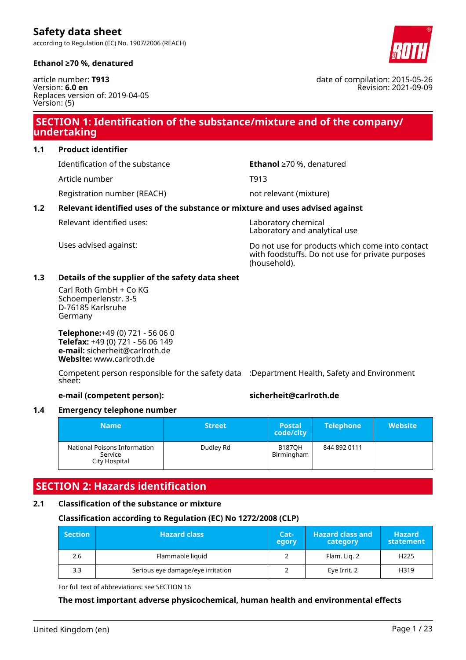according to Regulation (EC) No. 1907/2006 (REACH)



article number: **T913** Version: **6.0 en** Replaces version of: 2019-04-05 Version: (5)

### **SECTION 1: Identification of the substance/mixture and of the company/ undertaking**

**1.1 Product identifier**

Identification of the substance **Ethanol** ≥70 %, denatured

Article number T913

Registration number (REACH) not relevant (mixture)

#### **1.2 Relevant identified uses of the substance or mixture and uses advised against**

Relevant identified uses: Laboratory chemical

Laboratory and analytical use

Uses advised against: Do not use for products which come into contact with foodstuffs. Do not use for private purposes (household).

#### **1.3 Details of the supplier of the safety data sheet**

Carl Roth GmbH + Co KG Schoemperlenstr. 3-5 D-76185 Karlsruhe Germany

**Telephone:**+49 (0) 721 - 56 06 0 **Telefax:** +49 (0) 721 - 56 06 149 **e-mail:** sicherheit@carlroth.de **Website:** www.carlroth.de

Competent person responsible for the safety data :Department Health, Safety and Environment sheet:

**e-mail (competent person): sicherheit@carlroth.de**

#### **1.4 Emergency telephone number**

| <b>Name</b> '                                            | <b>Street</b> | <b>Postal</b><br>code/city  | <b>Telephone</b> | <b>Website</b> |
|----------------------------------------------------------|---------------|-----------------------------|------------------|----------------|
| National Poisons Information<br>Service<br>City Hospital | Dudley Rd     | <b>B187OH</b><br>Birmingham | 844 892 0111     |                |

### **SECTION 2: Hazards identification**

#### **2.1 Classification of the substance or mixture**

#### **Classification according to Regulation (EC) No 1272/2008 (CLP)**

| <b>Section</b> | <b>Hazard class</b>               | Cat-<br>egory | <b>Hazard class and</b><br>category | <b>Hazard</b><br>statement |
|----------------|-----------------------------------|---------------|-------------------------------------|----------------------------|
| 2.6            | Flammable liquid                  |               | Flam. Lig. 2                        | H <sub>225</sub>           |
| 3.3            | Serious eye damage/eye irritation |               | Eye Irrit. 2                        | H319                       |

For full text of abbreviations: see SECTION 16

#### **The most important adverse physicochemical, human health and environmental effects**



date of compilation: 2015-05-26

Revision: 2021-09-09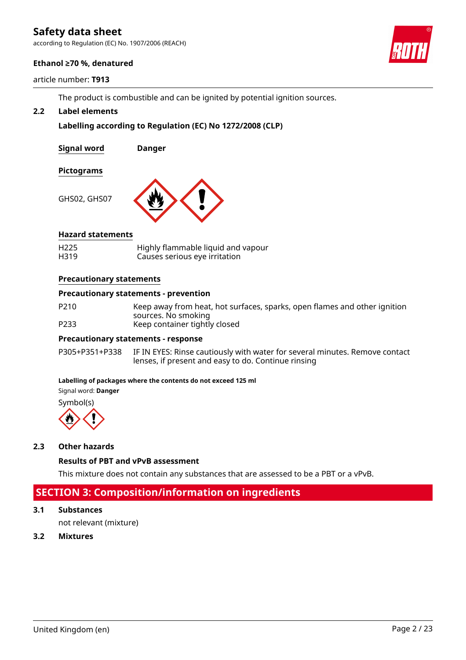according to Regulation (EC) No. 1907/2006 (REACH)

#### **Ethanol ≥70 %, denatured**

article number: **T913**

The product is combustible and can be ignited by potential ignition sources.

#### **2.2 Label elements**

#### **Labelling according to Regulation (EC) No 1272/2008 (CLP)**

**Signal word Danger**

#### **Pictograms**

GHS02, GHS07



#### **Hazard statements**

| H <sub>225</sub> | Highly flammable liquid and vapour |
|------------------|------------------------------------|
| H319             | Causes serious eye irritation      |

#### **Precautionary statements**

#### **Precautionary statements - prevention**

P210 Keep away from heat, hot surfaces, sparks, open flames and other ignition sources. No smoking P233 Keep container tightly closed

#### **Precautionary statements - response**

P305+P351+P338 IF IN EYES: Rinse cautiously with water for several minutes. Remove contact lenses, if present and easy to do. Continue rinsing

#### **Labelling of packages where the contents do not exceed 125 ml**

Signal word: **Danger**

Symbol(s)



#### **2.3 Other hazards**

**Results of PBT and vPvB assessment**

This mixture does not contain any substances that are assessed to be a PBT or a vPvB.

#### **SECTION 3: Composition/information on ingredients**

**3.1 Substances**

not relevant (mixture)

**3.2 Mixtures**

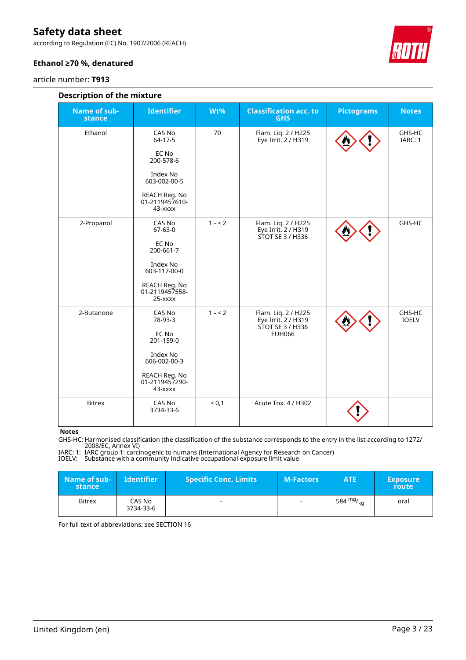according to Regulation (EC) No. 1907/2006 (REACH)

#### **Ethanol ≥70 %, denatured**

article number: **T913**



| <b>Description of the mixture</b> |                                            |         |                                                                |                   |                        |  |  |  |
|-----------------------------------|--------------------------------------------|---------|----------------------------------------------------------------|-------------------|------------------------|--|--|--|
| <b>Name of sub-</b><br>stance     | <b>Identifier</b>                          | Wt%     | <b>Classification acc. to</b><br><b>GHS</b>                    | <b>Pictograms</b> | <b>Notes</b>           |  |  |  |
| Ethanol                           | CAS No<br>64-17-5                          | 70      | Flam. Liq. 2 / H225<br>Eye Irrit. 2 / H319                     |                   | GHS-HC<br>IARC: 1      |  |  |  |
|                                   | EC No<br>200-578-6                         |         |                                                                |                   |                        |  |  |  |
|                                   | Index No<br>603-002-00-5                   |         |                                                                |                   |                        |  |  |  |
|                                   | REACH Reg. No<br>01-2119457610-<br>43-xxxx |         |                                                                |                   |                        |  |  |  |
| 2-Propanol                        | CAS No<br>$67 - 63 - 0$                    | $1 - 2$ | Flam. Liq. 2 / H225<br>Eye Irrit. 2 / H319<br>STOT SE 3 / H336 |                   | GHS-HC                 |  |  |  |
|                                   | EC No<br>200-661-7                         |         |                                                                |                   |                        |  |  |  |
|                                   | Index No<br>603-117-00-0                   |         |                                                                |                   |                        |  |  |  |
|                                   | REACH Reg. No<br>01-2119457558-<br>25-xxxx |         |                                                                |                   |                        |  |  |  |
| 2-Butanone                        | CAS No<br>78-93-3                          | $1 - 2$ | Flam. Liq. 2 / H225<br>Eye Irrit. 2 / H319<br>STOT SE 3 / H336 |                   | GHS-HC<br><b>IOELV</b> |  |  |  |
|                                   | EC No<br>201-159-0                         |         | <b>EUH066</b>                                                  |                   |                        |  |  |  |
|                                   | Index No<br>606-002-00-3                   |         |                                                                |                   |                        |  |  |  |
|                                   | REACH Reg. No<br>01-2119457290-<br>43-xxxx |         |                                                                |                   |                        |  |  |  |
| <b>Bitrex</b>                     | CAS No<br>3734-33-6                        | < 0,1   | Acute Tox. 4 / H302                                            |                   |                        |  |  |  |

**Notes**

GHS-HC: Harmonised classification (the classification of the substance corresponds to the entry in the list according to 1272/ 2008/EC, Annex VI)

IARC: 1: IARC group 1: carcinogenic to humans (International Agency for Research on Cancer) IOELV: Substance with a community indicative occupational exposure limit value

| Name of sub-<br>stance | <b>Identifier</b>   | <b>Specific Conc. Limits</b> | <b>M-Factors</b>         | <b>ATE</b>  | <b>Exposure</b><br>route |
|------------------------|---------------------|------------------------------|--------------------------|-------------|--------------------------|
| <b>Bitrex</b>          | CAS No<br>3734-33-6 | $\overline{\phantom{0}}$     | $\overline{\phantom{a}}$ | 584 $mg/kq$ | oral                     |

For full text of abbreviations: see SECTION 16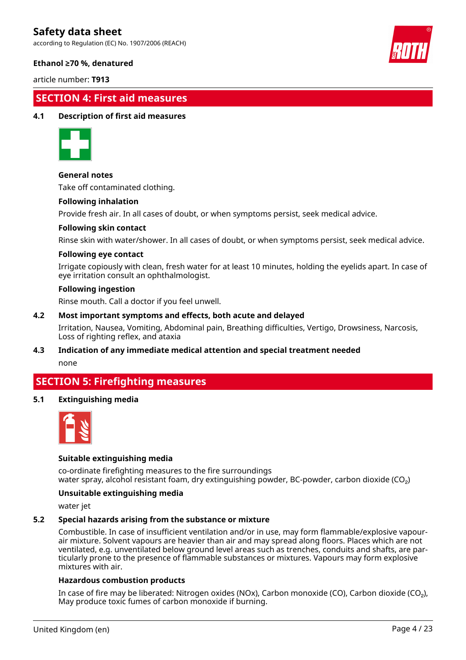according to Regulation (EC) No. 1907/2006 (REACH)



#### **Ethanol ≥70 %, denatured**

article number: **T913**

### **SECTION 4: First aid measures**

#### **4.1 Description of first aid measures**



#### **General notes**

Take off contaminated clothing.

#### **Following inhalation**

Provide fresh air. In all cases of doubt, or when symptoms persist, seek medical advice.

#### **Following skin contact**

Rinse skin with water/shower. In all cases of doubt, or when symptoms persist, seek medical advice.

#### **Following eye contact**

Irrigate copiously with clean, fresh water for at least 10 minutes, holding the eyelids apart. In case of eye irritation consult an ophthalmologist.

#### **Following ingestion**

Rinse mouth. Call a doctor if you feel unwell.

#### **4.2 Most important symptoms and effects, both acute and delayed**

Irritation, Nausea, Vomiting, Abdominal pain, Breathing difficulties, Vertigo, Drowsiness, Narcosis, Loss of righting reflex, and ataxia

#### **4.3 Indication of any immediate medical attention and special treatment needed**

none

### **SECTION 5: Firefighting measures**

#### **5.1 Extinguishing media**



#### **Suitable extinguishing media**

co-ordinate firefighting measures to the fire surroundings water spray, alcohol resistant foam, dry extinguishing powder, BC-powder, carbon dioxide (CO<sub>2</sub>)

#### **Unsuitable extinguishing media**

water jet

#### **5.2 Special hazards arising from the substance or mixture**

Combustible. In case of insufficient ventilation and/or in use, may form flammable/explosive vapourair mixture. Solvent vapours are heavier than air and may spread along floors. Places which are not ventilated, e.g. unventilated below ground level areas such as trenches, conduits and shafts, are particularly prone to the presence of flammable substances or mixtures. Vapours may form explosive mixtures with air.

#### **Hazardous combustion products**

In case of fire may be liberated: Nitrogen oxides (NOx), Carbon monoxide (CO), Carbon dioxide (CO₂), May produce toxic fumes of carbon monoxide if burning.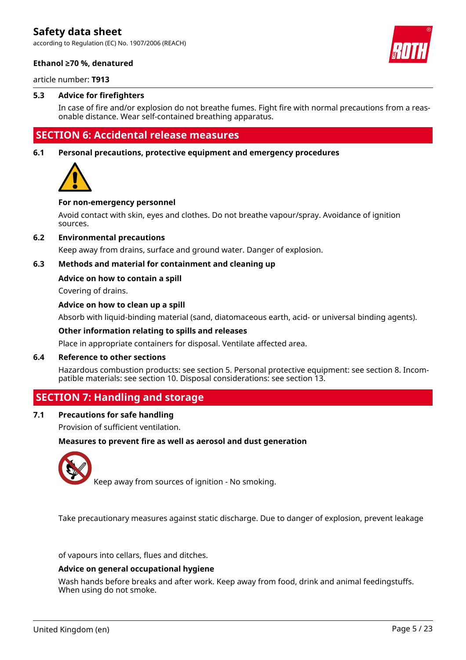according to Regulation (EC) No. 1907/2006 (REACH)



#### **Ethanol ≥70 %, denatured**

article number: **T913**

#### **5.3 Advice for firefighters**

In case of fire and/or explosion do not breathe fumes. Fight fire with normal precautions from a reasonable distance. Wear self-contained breathing apparatus.

#### **SECTION 6: Accidental release measures**

**6.1 Personal precautions, protective equipment and emergency procedures**



#### **For non-emergency personnel**

Avoid contact with skin, eyes and clothes. Do not breathe vapour/spray. Avoidance of ignition sources.

#### **6.2 Environmental precautions**

Keep away from drains, surface and ground water. Danger of explosion.

#### **6.3 Methods and material for containment and cleaning up**

#### **Advice on how to contain a spill**

Covering of drains.

#### **Advice on how to clean up a spill**

Absorb with liquid-binding material (sand, diatomaceous earth, acid- or universal binding agents).

#### **Other information relating to spills and releases**

Place in appropriate containers for disposal. Ventilate affected area.

#### **6.4 Reference to other sections**

Hazardous combustion products: see section 5. Personal protective equipment: see section 8. Incompatible materials: see section 10. Disposal considerations: see section 13.

### **SECTION 7: Handling and storage**

#### **7.1 Precautions for safe handling**

Provision of sufficient ventilation.

#### **Measures to prevent fire as well as aerosol and dust generation**



Keep away from sources of ignition - No smoking.

Take precautionary measures against static discharge. Due to danger of explosion, prevent leakage

of vapours into cellars, flues and ditches.

#### **Advice on general occupational hygiene**

Wash hands before breaks and after work. Keep away from food, drink and animal feedingstuffs. When using do not smoke.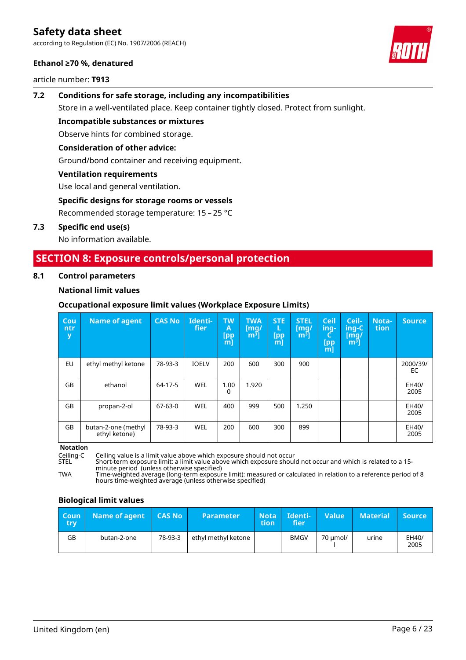according to Regulation (EC) No. 1907/2006 (REACH)

#### **Ethanol ≥70 %, denatured**

article number: **T913**



# **7.2 Conditions for safe storage, including any incompatibilities**

Store in a well-ventilated place. Keep container tightly closed. Protect from sunlight.

**Incompatible substances or mixtures**

Observe hints for combined storage.

#### **Consideration of other advice:**

Ground/bond container and receiving equipment.

#### **Ventilation requirements**

Use local and general ventilation.

#### **Specific designs for storage rooms or vessels**

Recommended storage temperature: 15 – 25 °C

#### **7.3 Specific end use(s)**

No information available.

### **SECTION 8: Exposure controls/personal protection**

#### **8.1 Control parameters**

#### **National limit values**

#### **Occupational exposure limit values (Workplace Exposure Limits)**

| Cou<br>ntr<br>У | Name of agent                        | <b>CAS No</b> | Identi-<br>fier | <b>TW</b><br>Α<br>[pp<br>[m] | <b>TWA</b><br>[mq/<br>[m <sup>3</sup> ] | <b>STE</b><br>L<br>[pp<br>[m] | <b>STEL</b><br>[mg/<br>m <sup>3</sup> | Ceil<br>ing-<br><b>[pp]</b><br>$m$ ] | Ceil-<br>ing-C<br>$\mathsf{[mq]}$<br>[m <sup>3</sup> ] | Nota-<br>tion | <b>Source</b>  |
|-----------------|--------------------------------------|---------------|-----------------|------------------------------|-----------------------------------------|-------------------------------|---------------------------------------|--------------------------------------|--------------------------------------------------------|---------------|----------------|
| EU              | ethyl methyl ketone                  | 78-93-3       | <b>IOELV</b>    | 200                          | 600                                     | 300                           | 900                                   |                                      |                                                        |               | 2000/39/<br>EC |
| GB              | ethanol                              | 64-17-5       | WEL             | 1.00<br>0                    | 1.920                                   |                               |                                       |                                      |                                                        |               | EH40/<br>2005  |
| GB              | propan-2-ol                          | $67 - 63 - 0$ | <b>WEL</b>      | 400                          | 999                                     | 500                           | 1.250                                 |                                      |                                                        |               | EH40/<br>2005  |
| GB              | butan-2-one (methyl<br>ethyl ketone) | 78-93-3       | WEL             | 200                          | 600                                     | 300                           | 899                                   |                                      |                                                        |               | EH40/<br>2005  |

#### **Notation**

Ceiling-C Ceiling value is a limit value above which exposure should not occur

STEL Short-term exposure limit: a limit value above which exposure should not occur and which is related to a 15 minute period (unless otherwise specified)

TWA Time-weighted average (long-term exposure limit): measured or calculated in relation to a reference period of 8 hours time-weighted average (unless otherwise specified)

#### **Biological limit values**

| Coun   <br>try | Name of agent | <b>CAS No</b> | <b>Parameter</b>    | <b>tion</b> | Nota Identi-<br>fier | Value    | Material | Source        |
|----------------|---------------|---------------|---------------------|-------------|----------------------|----------|----------|---------------|
| GB             | butan-2-one   | 78-93-3       | ethyl methyl ketone |             | <b>BMGV</b>          | 70 umol/ | urine    | EH40/<br>2005 |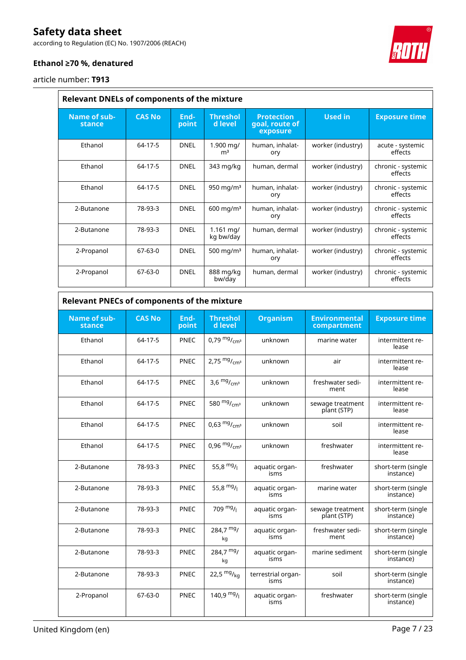according to Regulation (EC) No. 1907/2006 (REACH)

### **Ethanol ≥70 %, denatured**

article number: **T913**

 $\overline{\phantom{0}}$ 

| Relevant DNELs of components of the mixture |               |               |                                    |                                                 |                   |                               |  |  |  |
|---------------------------------------------|---------------|---------------|------------------------------------|-------------------------------------------------|-------------------|-------------------------------|--|--|--|
| Name of sub-<br>stance                      | <b>CAS No</b> | End-<br>point | <b>Threshol</b><br>d level         | <b>Protection</b><br>goal, route of<br>exposure | <b>Used in</b>    | <b>Exposure time</b>          |  |  |  |
| Ethanol                                     | 64-17-5       | <b>DNEL</b>   | 1.900 mg/<br>m <sup>3</sup>        | human, inhalat-<br>ory                          | worker (industry) | acute - systemic<br>effects   |  |  |  |
| Ethanol                                     | 64-17-5       | <b>DNEL</b>   | 343 mg/kg                          | human, dermal                                   | worker (industry) | chronic - systemic<br>effects |  |  |  |
| Ethanol                                     | 64-17-5       | <b>DNEL</b>   | 950 mg/m $3$                       | human, inhalat-<br>ory                          | worker (industry) | chronic - systemic<br>effects |  |  |  |
| 2-Butanone                                  | 78-93-3       | <b>DNEL</b>   | $600 \text{ mg/m}^3$               | human, inhalat-<br>ory                          | worker (industry) | chronic - systemic<br>effects |  |  |  |
| 2-Butanone                                  | 78-93-3       | <b>DNEL</b>   | $1.161 \,\mathrm{mq}$<br>kg bw/day | human, dermal                                   | worker (industry) | chronic - systemic<br>effects |  |  |  |
| 2-Propanol                                  | $67 - 63 - 0$ | <b>DNEL</b>   | 500 mg/m $3$                       | human, inhalat-<br>ory                          | worker (industry) | chronic - systemic<br>effects |  |  |  |
| 2-Propanol                                  | 67-63-0       | <b>DNEL</b>   | 888 mg/kg<br>bw/day                | human, dermal                                   | worker (industry) | chronic - systemic<br>effects |  |  |  |
|                                             |               |               |                                    |                                                 |                   |                               |  |  |  |

|                        | <b>Relevant PNECs of components of the mixture</b> |               |                                    |                            |                                     |                                 |  |  |  |
|------------------------|----------------------------------------------------|---------------|------------------------------------|----------------------------|-------------------------------------|---------------------------------|--|--|--|
| Name of sub-<br>stance | <b>CAS No</b>                                      | End-<br>point | <b>Threshol</b><br>d level         | <b>Organism</b>            | <b>Environmental</b><br>compartment | <b>Exposure time</b>            |  |  |  |
| Ethanol                | $64 - 17 - 5$                                      | <b>PNEC</b>   | 0,79 $mg/m3$                       | unknown                    | marine water                        | intermittent re-<br>lease       |  |  |  |
| Ethanol                | $64 - 17 - 5$                                      | <b>PNEC</b>   | 2,75 $mg/m3$                       | unknown                    | air                                 | intermittent re-<br>lease       |  |  |  |
| Ethanol                | 64-17-5                                            | <b>PNEC</b>   | 3,6 $mg/m1cm3$                     | unknown                    | freshwater sedi-<br>ment            | intermittent re-<br>lease       |  |  |  |
| Ethanol                | 64-17-5                                            | <b>PNEC</b>   | 580 $mg$ <sub>cm<sup>3</sup></sub> | unknown                    | sewage treatment<br>plant (STP)     | intermittent re-<br>lease       |  |  |  |
| Ethanol                | $64 - 17 - 5$                                      | <b>PNEC</b>   | $0.63 \frac{mg}{cm^3}$             | unknown                    | soil                                | intermittent re-<br>lease       |  |  |  |
| Ethanol                | 64-17-5                                            | <b>PNEC</b>   | 0,96 $mg/m1$                       | unknown                    | freshwater                          | intermittent re-<br>lease       |  |  |  |
| 2-Butanone             | 78-93-3                                            | <b>PNEC</b>   | 55,8 $mg/$                         | aquatic organ-<br>isms     | freshwater                          | short-term (single<br>instance) |  |  |  |
| 2-Butanone             | 78-93-3                                            | <b>PNEC</b>   | 55,8 $mg/1$                        | aquatic organ-<br>isms     | marine water                        | short-term (single<br>instance) |  |  |  |
| 2-Butanone             | 78-93-3                                            | <b>PNEC</b>   | 709 $mg/1$                         | aquatic organ-<br>isms     | sewage treatment<br>plant (STP)     | short-term (single<br>instance) |  |  |  |
| 2-Butanone             | 78-93-3                                            | <b>PNEC</b>   | 284,7 $mg/$<br>kg                  | aquatic organ-<br>isms     | freshwater sedi-<br>ment            | short-term (single<br>instance) |  |  |  |
| 2-Butanone             | 78-93-3                                            | <b>PNEC</b>   | $284,7 \frac{mg}{m}$<br>kg         | aquatic organ-<br>isms     | marine sediment                     | short-term (single<br>instance) |  |  |  |
| 2-Butanone             | 78-93-3                                            | PNEC          | 22,5 $mg/kq$                       | terrestrial organ-<br>isms | soil                                | short-term (single<br>instance) |  |  |  |
| 2-Propanol             | 67-63-0                                            | <b>PNEC</b>   | $140,9$ mg/ <sub>1</sub>           | aquatic organ-<br>isms     | freshwater                          | short-term (single<br>instance) |  |  |  |



 $\overline{1}$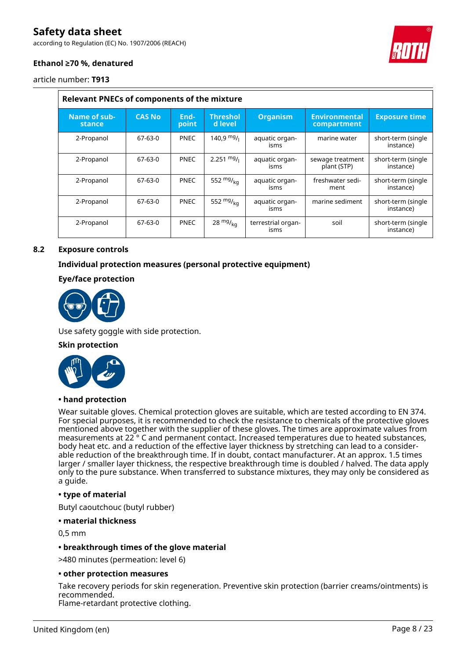according to Regulation (EC) No. 1907/2006 (REACH)



#### **Ethanol ≥70 %, denatured**

article number: **T913**

| <b>Relevant PNECs of components of the mixture</b> |               |               |                            |                            |                                     |                                 |  |  |  |
|----------------------------------------------------|---------------|---------------|----------------------------|----------------------------|-------------------------------------|---------------------------------|--|--|--|
| Name of sub-<br>stance                             | <b>CAS No</b> | End-<br>point | <b>Threshol</b><br>d level | <b>Organism</b>            | <b>Environmental</b><br>compartment | <b>Exposure time</b>            |  |  |  |
| 2-Propanol                                         | 67-63-0       | <b>PNEC</b>   | $140.9$ mg/ $_1$           | aquatic organ-<br>isms     | marine water                        | short-term (single<br>instance) |  |  |  |
| 2-Propanol                                         | 67-63-0       | <b>PNEC</b>   | $2.251 \frac{mg}{l}$       | aquatic organ-<br>isms     | sewage treatment<br>plant (STP)     | short-term (single<br>instance) |  |  |  |
| 2-Propanol                                         | 67-63-0       | <b>PNEC</b>   | 552 $mg/kq$                | aquatic organ-<br>isms     | freshwater sedi-<br>ment            | short-term (single<br>instance) |  |  |  |
| 2-Propanol                                         | 67-63-0       | <b>PNEC</b>   | 552 $mg/kq$                | aquatic organ-<br>isms     | marine sediment                     | short-term (single<br>instance) |  |  |  |
| 2-Propanol                                         | 67-63-0       | <b>PNEC</b>   | $28 \frac{mg}{ka}$         | terrestrial organ-<br>isms | soil                                | short-term (single<br>instance) |  |  |  |

#### **8.2 Exposure controls**

#### **Individual protection measures (personal protective equipment)**

#### **Eye/face protection**



Use safety goggle with side protection.

#### **Skin protection**



#### **• hand protection**

Wear suitable gloves. Chemical protection gloves are suitable, which are tested according to EN 374. For special purposes, it is recommended to check the resistance to chemicals of the protective gloves mentioned above together with the supplier of these gloves. The times are approximate values from measurements at 22 ° C and permanent contact. Increased temperatures due to heated substances, body heat etc. and a reduction of the effective layer thickness by stretching can lead to a considerable reduction of the breakthrough time. If in doubt, contact manufacturer. At an approx. 1.5 times larger / smaller layer thickness, the respective breakthrough time is doubled / halved. The data apply only to the pure substance. When transferred to substance mixtures, they may only be considered as a guide.

#### **• type of material**

Butyl caoutchouc (butyl rubber)

#### **• material thickness**

0,5 mm

#### **• breakthrough times of the glove material**

>480 minutes (permeation: level 6)

#### **• other protection measures**

Take recovery periods for skin regeneration. Preventive skin protection (barrier creams/ointments) is recommended. Flame-retardant protective clothing.

United Kingdom (en) **Page 8 / 23**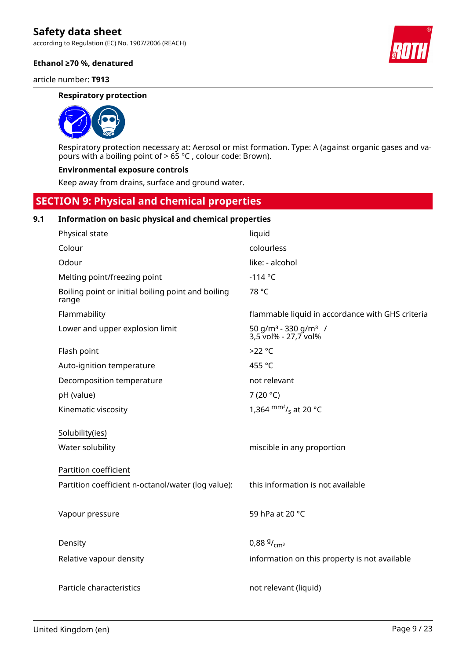according to Regulation (EC) No. 1907/2006 (REACH)

#### **Ethanol ≥70 %, denatured**

article number: **T913**

#### **Respiratory protection**



Respiratory protection necessary at: Aerosol or mist formation. Type: A (against organic gases and vapours with a boiling point of > 65 °C , colour code: Brown).

#### **Environmental exposure controls**

Keep away from drains, surface and ground water.

### **SECTION 9: Physical and chemical properties**

#### **9.1 Information on basic physical and chemical properties**

| Physical state                                              | liquid                                                               |
|-------------------------------------------------------------|----------------------------------------------------------------------|
| Colour                                                      | colourless                                                           |
| Odour                                                       | like: - alcohol                                                      |
| Melting point/freezing point                                | $-114 °C$                                                            |
| Boiling point or initial boiling point and boiling<br>range | 78 °C                                                                |
| Flammability                                                | flammable liquid in accordance with GHS criteria                     |
| Lower and upper explosion limit                             | 50 g/m <sup>3</sup> - 330 g/m <sup>3</sup> /<br>3,5 vol% - 27,7 vol% |
| Flash point                                                 | $>22^{\circ}C$                                                       |
| Auto-ignition temperature                                   | 455 °C                                                               |
| Decomposition temperature                                   | not relevant                                                         |
| pH (value)                                                  | 7 (20 $^{\circ}$ C)                                                  |
| Kinematic viscosity                                         | 1,364 $\rm{mm}^2$ / <sub>s</sub> at 20 °C                            |
|                                                             |                                                                      |
| Solubility(ies)                                             |                                                                      |
| Water solubility                                            | miscible in any proportion                                           |
| Partition coefficient                                       |                                                                      |
| Partition coefficient n-octanol/water (log value):          | this information is not available                                    |
|                                                             |                                                                      |
| Vapour pressure                                             | 59 hPa at 20 °C                                                      |
|                                                             |                                                                      |
| Density                                                     | $0.88\frac{9}{\text{cm}^3}$                                          |
| Relative vapour density                                     | information on this property is not available                        |
|                                                             |                                                                      |
| Particle characteristics                                    | not relevant (liquid)                                                |
|                                                             |                                                                      |

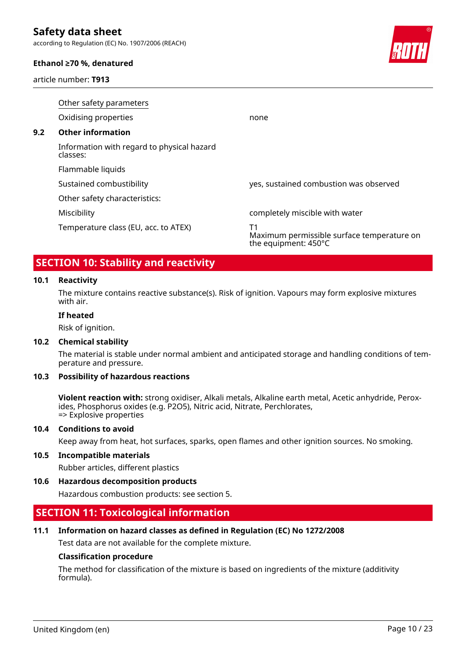according to Regulation (EC) No. 1907/2006 (REACH)

#### **Ethanol ≥70 %, denatured**

article number: **T913**



|     | Other safety parameters                                |                                                                          |  |  |  |  |  |  |  |
|-----|--------------------------------------------------------|--------------------------------------------------------------------------|--|--|--|--|--|--|--|
|     | Oxidising properties                                   | none                                                                     |  |  |  |  |  |  |  |
| 9.2 | <b>Other information</b>                               |                                                                          |  |  |  |  |  |  |  |
|     | Information with regard to physical hazard<br>classes: |                                                                          |  |  |  |  |  |  |  |
|     | Flammable liquids                                      |                                                                          |  |  |  |  |  |  |  |
|     | Sustained combustibility                               | yes, sustained combustion was observed                                   |  |  |  |  |  |  |  |
|     | Other safety characteristics:                          |                                                                          |  |  |  |  |  |  |  |
|     | Miscibility                                            | completely miscible with water                                           |  |  |  |  |  |  |  |
|     | Temperature class (EU, acc. to ATEX)                   | Τ1<br>Maximum permissible surface temperature on<br>the equipment: 450°C |  |  |  |  |  |  |  |

### **SECTION 10: Stability and reactivity**

#### **10.1 Reactivity**

The mixture contains reactive substance(s). Risk of ignition. Vapours may form explosive mixtures with air.

#### **If heated**

Risk of ignition.

#### **10.2 Chemical stability**

The material is stable under normal ambient and anticipated storage and handling conditions of temperature and pressure.

#### **10.3 Possibility of hazardous reactions**

**Violent reaction with:** strong oxidiser, Alkali metals, Alkaline earth metal, Acetic anhydride, Peroxides, Phosphorus oxides (e.g. P2O5), Nitric acid, Nitrate, Perchlorates, => Explosive properties

#### **10.4 Conditions to avoid**

Keep away from heat, hot surfaces, sparks, open flames and other ignition sources. No smoking.

#### **10.5 Incompatible materials**

Rubber articles, different plastics

#### **10.6 Hazardous decomposition products**

Hazardous combustion products: see section 5.

### **SECTION 11: Toxicological information**

#### **11.1 Information on hazard classes as defined in Regulation (EC) No 1272/2008**

Test data are not available for the complete mixture.

#### **Classification procedure**

The method for classification of the mixture is based on ingredients of the mixture (additivity formula).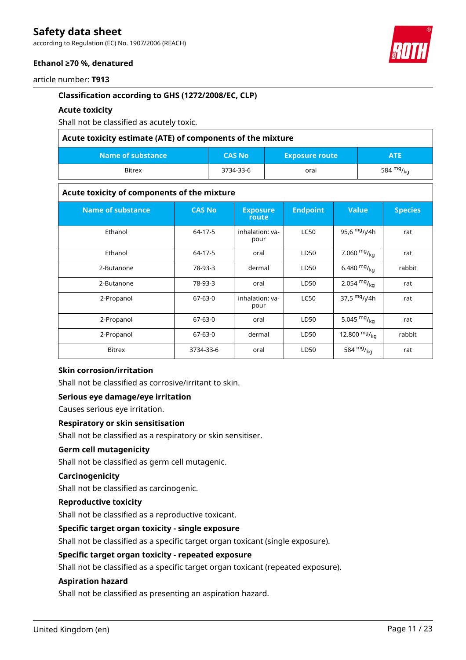according to Regulation (EC) No. 1907/2006 (REACH)

#### **Ethanol ≥70 %, denatured**

article number: **T913**

#### **Classification according to GHS (1272/2008/EC, CLP)**

#### **Acute toxicity**

Shall not be classified as acutely toxic.

| Acute toxicity estimate (ATE) of components of the mixture |               |                       |             |  |
|------------------------------------------------------------|---------------|-----------------------|-------------|--|
| Name of substance                                          | <b>CAS No</b> | <b>Exposure route</b> | <b>ATE</b>  |  |
| <b>Bitrex</b>                                              | 3734-33-6     | oral                  | 584 $mg/kq$ |  |

#### **Acute toxicity of components of the mixture**

| <b>Name of substance</b> | <b>CAS No</b> | <b>Exposure</b><br>route | <b>Endpoint</b> | <b>Value</b>     | <b>Species</b> |
|--------------------------|---------------|--------------------------|-----------------|------------------|----------------|
| Ethanol                  | 64-17-5       | inhalation: ya-<br>pour  | <b>LC50</b>     | 95,6 $mg/1/4h$   | rat            |
| Ethanol                  | 64-17-5       | oral                     | LD50            | 7.060 $mg/_{kq}$ | rat            |
| 2-Butanone               | 78-93-3       | dermal                   | LD50            | 6.480 $mg/_{kq}$ | rabbit         |
| 2-Butanone               | 78-93-3       | oral                     | LD50            | 2.054 $mg/kq$    | rat            |
| 2-Propanol               | $67-63-0$     | inhalation: va-<br>pour  | <b>LC50</b>     | 37,5 $mg/1/4h$   | rat            |
| 2-Propanol               | $67-63-0$     | oral                     | LD50            | 5.045 $mg/kq$    | rat            |
| 2-Propanol               | $67-63-0$     | dermal                   | LD50            | 12.800 $mg/kq$   | rabbit         |
| <b>Bitrex</b>            | 3734-33-6     | oral                     | LD50            | 584 $mg/_{kq}$   | rat            |

#### **Skin corrosion/irritation**

Shall not be classified as corrosive/irritant to skin.

#### **Serious eye damage/eye irritation**

Causes serious eye irritation.

#### **Respiratory or skin sensitisation**

Shall not be classified as a respiratory or skin sensitiser.

#### **Germ cell mutagenicity**

Shall not be classified as germ cell mutagenic.

#### **Carcinogenicity**

Shall not be classified as carcinogenic.

#### **Reproductive toxicity**

Shall not be classified as a reproductive toxicant.

#### **Specific target organ toxicity - single exposure**

Shall not be classified as a specific target organ toxicant (single exposure).

#### **Specific target organ toxicity - repeated exposure**

Shall not be classified as a specific target organ toxicant (repeated exposure).

#### **Aspiration hazard**

Shall not be classified as presenting an aspiration hazard.

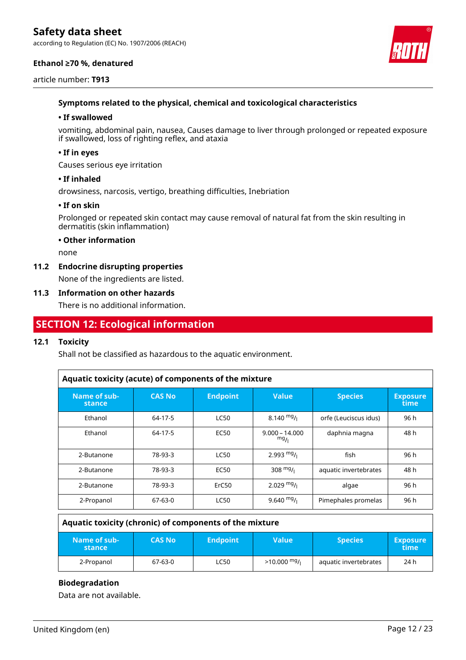according to Regulation (EC) No. 1907/2006 (REACH)

#### **Ethanol ≥70 %, denatured**





#### **Symptoms related to the physical, chemical and toxicological characteristics**

#### **• If swallowed**

vomiting, abdominal pain, nausea, Causes damage to liver through prolonged or repeated exposure if swallowed, loss of righting reflex, and ataxia

#### **• If in eyes**

Causes serious eye irritation

#### **• If inhaled**

drowsiness, narcosis, vertigo, breathing difficulties, Inebriation

#### **• If on skin**

Prolonged or repeated skin contact may cause removal of natural fat from the skin resulting in dermatitis (skin inflammation)

#### **• Other information**

none

#### **11.2 Endocrine disrupting properties**

None of the ingredients are listed.

#### **11.3 Information on other hazards**

There is no additional information.

### **SECTION 12: Ecological information**

#### **12.1 Toxicity**

Shall not be classified as hazardous to the aquatic environment.

| Aquatic toxicity (acute) of components of the mixture |                |                 |                         |                       |                         |  |
|-------------------------------------------------------|----------------|-----------------|-------------------------|-----------------------|-------------------------|--|
| Name of sub-<br>stance                                | <b>CAS No.</b> | <b>Endpoint</b> | <b>Value</b>            | <b>Species</b>        | <b>Exposure</b><br>time |  |
| Ethanol                                               | 64-17-5        | <b>LC50</b>     | $8.140 \frac{mg}{L}$    | orfe (Leuciscus idus) | 96 h                    |  |
| Ethanol                                               | 64-17-5        | <b>EC50</b>     | $9.000 - 14.000$<br>mg/ | daphnia magna         | 48 h                    |  |
| 2-Butanone                                            | 78-93-3        | <b>LC50</b>     | 2.993 $mg/$             | fish                  | 96 h                    |  |
| 2-Butanone                                            | 78-93-3        | <b>EC50</b>     | 308 $mg/1$              | aquatic invertebrates | 48 h                    |  |
| 2-Butanone                                            | 78-93-3        | ErC50           | $2.029$ mg/i            | algae                 | 96 h                    |  |
| 2-Propanol                                            | 67-63-0        | <b>LC50</b>     | 9.640 $mg/$             | Pimephales promelas   | 96 h                    |  |

| Aquatic toxicity (chronic) of components of the mixture |               |                 |               |                       |                         |
|---------------------------------------------------------|---------------|-----------------|---------------|-----------------------|-------------------------|
| Name of sub-<br>stance                                  | <b>CAS No</b> | <b>Endpoint</b> | <b>Value</b>  | <b>Species</b>        | <b>Exposure</b><br>time |
| 2-Propanol                                              | $67-63-0$     | LC50            | $>10.000$ mg/ | aquatic invertebrates | 24 h                    |

#### **Biodegradation**

Data are not available.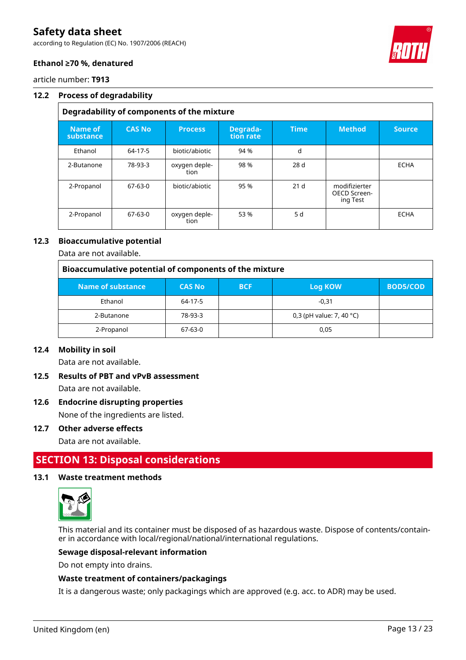according to Regulation (EC) No. 1907/2006 (REACH)



#### **Ethanol ≥70 %, denatured**

article number: **T913**

#### **12.2 Process of degradability**

### **Degradability of components of the mixture**

| Name of<br>substance | <b>CAS No</b> | <b>Process</b>        | Degrada-<br>tion rate | <b>Time</b>     | <b>Method</b>                             | <b>Source</b> |
|----------------------|---------------|-----------------------|-----------------------|-----------------|-------------------------------------------|---------------|
| Ethanol              | 64-17-5       | biotic/abiotic        | 94 %                  | d               |                                           |               |
| 2-Butanone           | 78-93-3       | oxygen deple-<br>tion | 98 %                  | 28 d            |                                           | <b>ECHA</b>   |
| 2-Propanol           | $67-63-0$     | biotic/abiotic        | 95 %                  | 21 <sub>d</sub> | modifizierter<br>OECD Screen-<br>ing Test |               |
| 2-Propanol           | $67-63-0$     | oxygen deple-<br>tion | 53 %                  | 5 d             |                                           | <b>ECHA</b>   |

#### **12.3 Bioaccumulative potential**

Data are not available.

| Bioaccumulative potential of components of the mixture |               |            |                                    |                 |  |
|--------------------------------------------------------|---------------|------------|------------------------------------|-----------------|--|
| Name of substance                                      | <b>CAS No</b> | <b>BCF</b> | Log KOW                            | <b>BOD5/COD</b> |  |
| Ethanol                                                | 64-17-5       |            | $-0.31$                            |                 |  |
| 2-Butanone                                             | 78-93-3       |            | 0,3 (pH value: 7, 40 $^{\circ}$ C) |                 |  |
| 2-Propanol                                             | 67-63-0       |            | 0.05                               |                 |  |

#### **12.4 Mobility in soil**

Data are not available.

#### **12.5 Results of PBT and vPvB assessment** Data are not available.

**12.6 Endocrine disrupting properties**

None of the ingredients are listed.

#### **12.7 Other adverse effects**

Data are not available.

### **SECTION 13: Disposal considerations**

#### **13.1 Waste treatment methods**



This material and its container must be disposed of as hazardous waste. Dispose of contents/container in accordance with local/regional/national/international regulations.

#### **Sewage disposal-relevant information**

Do not empty into drains.

#### **Waste treatment of containers/packagings**

It is a dangerous waste; only packagings which are approved (e.g. acc. to ADR) may be used.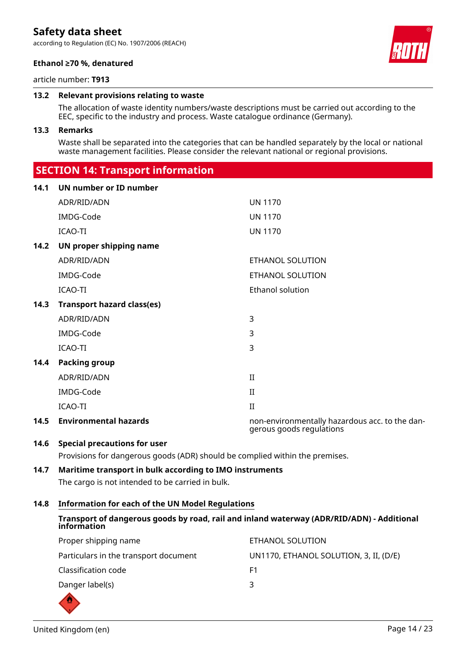according to Regulation (EC) No. 1907/2006 (REACH)





article number: **T913**

#### **13.2 Relevant provisions relating to waste**

The allocation of waste identity numbers/waste descriptions must be carried out according to the EEC, specific to the industry and process. Waste catalogue ordinance (Germany).

#### **13.3 Remarks**

Waste shall be separated into the categories that can be handled separately by the local or national waste management facilities. Please consider the relevant national or regional provisions.

### **SECTION 14: Transport information**

| 14.1 | UN number or ID number            |                                                                            |
|------|-----------------------------------|----------------------------------------------------------------------------|
|      | ADR/RID/ADN                       | <b>UN 1170</b>                                                             |
|      | IMDG-Code                         | <b>UN 1170</b>                                                             |
|      | ICAO-TI                           | <b>UN 1170</b>                                                             |
| 14.2 | UN proper shipping name           |                                                                            |
|      | ADR/RID/ADN                       | ETHANOL SOLUTION                                                           |
|      | IMDG-Code                         | ETHANOL SOLUTION                                                           |
|      | <b>ICAO-TI</b>                    | Ethanol solution                                                           |
| 14.3 | <b>Transport hazard class(es)</b> |                                                                            |
|      | ADR/RID/ADN                       | 3                                                                          |
|      | IMDG-Code                         | 3                                                                          |
|      | <b>ICAO-TI</b>                    | 3                                                                          |
| 14.4 | <b>Packing group</b>              |                                                                            |
|      | ADR/RID/ADN                       | $\mathbf{I}$                                                               |
|      | IMDG-Code                         | $\rm II$                                                                   |
|      | <b>ICAO-TI</b>                    | $\mathbf{I}$                                                               |
| 14.5 | <b>Environmental hazards</b>      | non-environmentally hazardous acc. to the dan-<br>gerous goods regulations |

#### **14.6 Special precautions for user**

Provisions for dangerous goods (ADR) should be complied within the premises.

#### **14.7 Maritime transport in bulk according to IMO instruments**

The cargo is not intended to be carried in bulk.

#### **14.8 Information for each of the UN Model Regulations**

#### **Transport of dangerous goods by road, rail and inland waterway (ADR/RID/ADN) - Additional information**

| Proper shipping name                  | ETHANOL SOLUTION                       |
|---------------------------------------|----------------------------------------|
| Particulars in the transport document | UN1170, ETHANOL SOLUTION, 3, II, (D/E) |
| Classification code                   | F1                                     |
| Danger label(s)                       | ₹                                      |

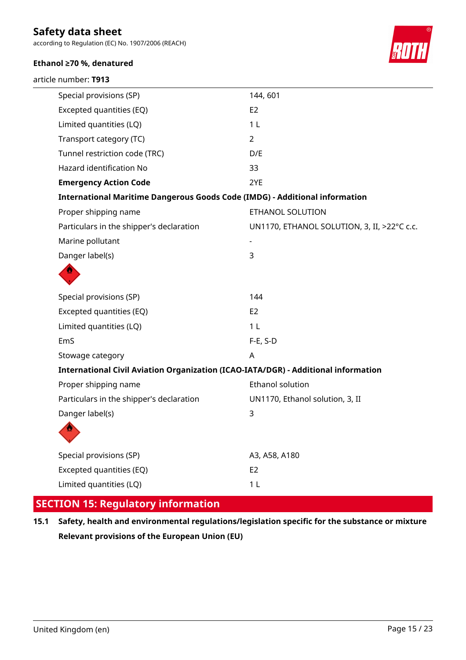according to Regulation (EC) No. 1907/2006 (REACH)

#### **Ethanol ≥70 %, denatured**

article number: **T913**



| Special provisions (SP)                                                            | 144,601                                     |
|------------------------------------------------------------------------------------|---------------------------------------------|
| Excepted quantities (EQ)                                                           | E <sub>2</sub>                              |
| Limited quantities (LQ)                                                            | 1 <sub>L</sub>                              |
| Transport category (TC)                                                            | 2                                           |
| Tunnel restriction code (TRC)                                                      | D/E                                         |
| Hazard identification No                                                           | 33                                          |
| <b>Emergency Action Code</b>                                                       | 2YE                                         |
| <b>International Maritime Dangerous Goods Code (IMDG) - Additional information</b> |                                             |
| Proper shipping name                                                               | ETHANOL SOLUTION                            |
| Particulars in the shipper's declaration                                           | UN1170, ETHANOL SOLUTION, 3, II, >22°C c.c. |
| Marine pollutant                                                                   |                                             |
| Danger label(s)                                                                    | 3                                           |
|                                                                                    |                                             |
| Special provisions (SP)                                                            | 144                                         |
| Excepted quantities (EQ)                                                           | E <sub>2</sub>                              |
| Limited quantities (LQ)                                                            | 1 <sub>L</sub>                              |
| EmS                                                                                | $F-E$ , S-D                                 |
| Stowage category                                                                   | A                                           |
| International Civil Aviation Organization (ICAO-IATA/DGR) - Additional information |                                             |
| Proper shipping name                                                               | <b>Ethanol solution</b>                     |
| Particulars in the shipper's declaration                                           | UN1170, Ethanol solution, 3, II             |
| Danger label(s)                                                                    | 3                                           |
|                                                                                    |                                             |
| Special provisions (SP)                                                            | A3, A58, A180                               |
| Excepted quantities (EQ)                                                           | E <sub>2</sub>                              |
| Limited quantities (LQ)                                                            | 1 <sub>L</sub>                              |
|                                                                                    |                                             |

### **SECTION 15: Regulatory information**

**15.1 Safety, health and environmental regulations/legislation specific for the substance or mixture Relevant provisions of the European Union (EU)**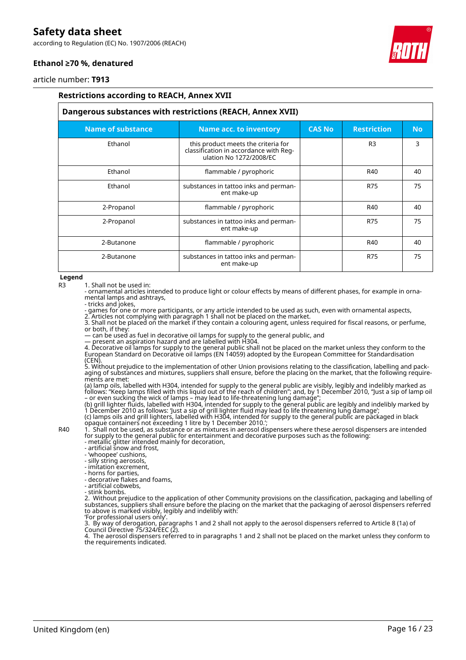according to Regulation (EC) No. 1907/2006 (REACH)



#### **Ethanol ≥70 %, denatured**

article number: **T913**

#### **Restrictions according to REACH, Annex XVII Dangerous substances with restrictions (REACH, Annex XVII) Name of substance Name acc. to inventory CAS No Restriction No** Ethanol **this product meets the criteria for** classification in accordance with Regulation No 1272/2008/EC R3 3 Ethanol flammable / pyrophoric R40 40 Ethanol substances in tattoo inks and permanent make-up R75 | 75 2-Propanol (and flammable / pyrophoric ) and the R40 (and A40 do H 2-Propanol substances in tattoo inks and permanent make-up R75 | 75 2-Butanone (and flammable / pyrophoric  $\begin{vmatrix} 1 & 0 & 0 \\ 0 & 0 & 0 \\ 0 & 0 & 0 \end{vmatrix}$  and  $\begin{vmatrix} 40 & 40 \\ 0 & 40 \\ 0 & 0 & 0 \end{vmatrix}$ 2-Butanone substances in tattoo inks and permanent make-up R75 | 75

#### **Legend**

R3 1. Shall not be used in:

- ornamental articles intended to produce light or colour effects by means of different phases, for example in ornamental lamps and ashtrays,

- tricks and jokes,

- games for one or more participants, or any article intended to be used as such, even with ornamental aspects,

2. Articles not complying with paragraph 1 shall not be placed on the market.

3. Shall not be placed on the market if they contain a colouring agent, unless required for fiscal reasons, or perfume, or both, if they:

— can be used as fuel in decorative oil lamps for supply to the general public, and

— present an aspiration hazard and are labelled with H304.

4. Decorative oil lamps for supply to the general public shall not be placed on the market unless they conform to the European Standard on Decorative oil lamps (EN 14059) adopted by the European Committee for Standardisation (CEN).

5. Without prejudice to the implementation of other Union provisions relating to the classification, labelling and packaging of substances and mixtures, suppliers shall ensure, before the placing on the market, that the following requirements are met:

(a) lamp oils, labelled with H304, intended for supply to the general public are visibly, legibly and indelibly marked as follows: "Keep lamps filled with this liquid out of the reach of children"; and, by 1 December 2010, "Just a sip of lamp oil – or even sucking the wick of lamps – may lead to life-threatening lung damage";

(b) grill lighter fluids, labelled with H304, intended for supply to the general public are legibly and indelibly marked by 1 December 2010 as follows: 'Just a sip of grill lighter fluid may lead to life threatening lung damage'; (c) lamps oils and grill lighters, labelled with H304, intended for supply to the general public are packaged in black opaque containers not exceeding 1 litre by 1 December 2010.';

R40 1. Shall not be used, as substance or as mixtures in aerosol dispensers where these aerosol dispensers are intended for supply to the general public for entertainment and decorative purposes such as the following:

- metallic glitter intended mainly for decoration,

- artificial snow and frost,

- 'whoopee' cushions, - silly string aerosols,

- imitation excrement,

- horns for parties,

- decorative flakes and foams,

- artificial cobwebs,

- stink bombs. 2. Without prejudice to the application of other Community provisions on the classification, packaging and labelling of substances, suppliers shall ensure before the placing on the market that the packaging of aerosol dispensers referred to above is marked visibly, legibly and indelibly with:

'For professional users only'.

3. By way of derogation, paragraphs 1 and 2 shall not apply to the aerosol dispensers referred to Article 8 (1a) of Council Directive 75/324/EEC (2).

4. The aerosol dispensers referred to in paragraphs 1 and 2 shall not be placed on the market unless they conform to the requirements indicated.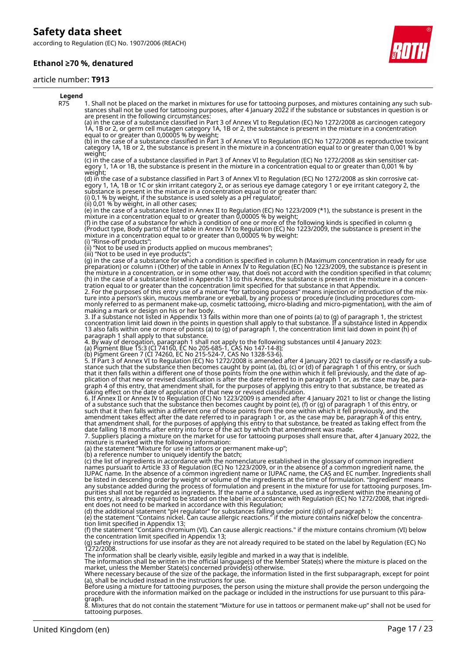according to Regulation (EC) No. 1907/2006 (REACH)

#### **Ethanol ≥70 %, denatured**

#### article number: **T913**



#### **Legend**

R75 1. Shall not be placed on the market in mixtures for use for tattooing purposes, and mixtures containing any such substances shall not be used for tattooing purposes, after 4 January 2022 if the substance or substances in question is or are present in the following circumstances:

(a) in the case of a substance classified in Part 3 of Annex VI to Regulation (EC) No 1272/2008 as carcinogen category 1A, 1B or 2, or germ cell mutagen category 1A, 1B or 2, the substance is present in the mixture in a concentration equal to or greater than 0,00005 % by weight;

(b) in the case of a substance classified in Part 3 of Annex VI to Regulation (EC) No 1272/2008 as reproductive toxicant category 1A, 1B or 2, the substance is present in the mixture in a concentration equal to or greater than 0,001 % by weight;

(c) in the case of a substance classified in Part 3 of Annex VI to Regulation (EC) No 1272/2008 as skin sensitiser category 1, 1A or 1B, the substance is present in the mixture in a concentration equal to or greater than 0,001 % by weight;

(d) in the case of a substance classified in Part 3 of Annex VI to Regulation (EC) No 1272/2008 as skin corrosive category 1, 1A, 1B or 1C or skin irritant category 2, or as serious eye damage category 1 or eye irritant category 2, the substance is present in the mixture in a concentration equal to or greater than: (i) 0,1 % by weight, if the substance is used solely as a pH regulator;

(ii) 0,01 % by weight, in all other cases;

(e) in the case of a substance listed in Annex II to Regulation (EC) No 1223/2009 (\*1), the substance is present in the mixture in a concentration equal to or greater than 0,00005 % by weight;

(f) in the case of a substance for which a condition of one or more of the following kinds is specified in column g (Product type, Body parts) of the table in Annex IV to Regulation (EC) No 1223/2009, the substance is present in the mixture in a concentration equal to or greater than 0,00005 % by weight: (i) "Rinse-off products";

(ii) "Not to be used in products applied on mucous membranes";

(iii) "Not to be used in eye products";

(g) in the case of a substance for which a condition is specified in column h (Maximum concentration in ready for use preparation) or column i (Other) of the table in Annex IV to Regulation (EC) No 1223/2009, the substance is present in the mixture in a concentration, or in some other way, that does not accord with the condition specified in that column; (h) in the case of a substance listed in Appendix 13 to this Annex, the substance is present in the mixture in a concentration equal to or greater than the concentration limit specified for that substance in that Appendix. 2. For the purposes of this entry use of a mixture "for tattooing purposes" means injection or introduction of the mixture into a person's skin, mucous membrane or eyeball, by any process or procedure (including procedures com-

monly referred to as permanent make-up, cosmetic tattooing, micro-blading and micro-pigmentation), with the aim of making a mark or design on his or her body.

3. If a substance not listed in Appendix 13 falls within more than one of points (a) to (g) of paragraph 1, the strictest concentration limit laid down in the points in question shall apply to that substance. If a substance listed in Appendix 13 also falls within one or more of points (a) to (g) of paragraph 1, the concentration limit laid down in point (h) of paragraph 1 shall apply to that substance.

4. By way of derogation, paragraph 1 shall not apply to the following substances until 4 January 2023:

(a) Pigment Blue 15:3 (CI 74160, EC No 205-685-1, CAS No 147-14-8);

(b) Pigment Green 7 (CI 74260, EC No 215-524-7, CAS No 1328-53-6).

5. If Part 3 of Annex VI to Regulation (EC) No 1272/2008 is amended after 4 January 2021 to classify or re-classify a substance such that the substance then becomes caught by point (a), (b), (c) or (d) of paragraph 1 of this entry, or such that it then falls within a different one of those points from the one within which it fell previously, and the date of application of that new or revised classification is after the date referred to in paragraph 1 or, as the case may be, paragraph 4 of this entry, that amendment shall, for the purposes of applying this entry to that substance, be treated as taking effect on the date of application of that new or revised classification.

6. If Annex II or Annex IV to Regulation (EC) No 1223/2009 is amended after 4 January 2021 to list or change the listing of a substance such that the substance then becomes caught by point (e), (f) or (g) of paragraph 1 of this entry, or such that it then falls within a different one of those points from the one within which it fell previously, and the amendment takes effect after the date referred to in paragraph 1 or, as the case may be, paragraph 4 of this entry,

that amendment shall, for the purposes of applying this entry to that substance, be treated as taking effect from the date falling 18 months after entry into force of the act by which that amendment was made.

7. Suppliers placing a mixture on the market for use for tattooing purposes shall ensure that, after 4 January 2022, the mixture is marked with the following information:

(a) the statement "Mixture for use in tattoos or permanent make-up";

(b) a reference number to uniquely identify the batch;

(c) the list of ingredients in accordance with the nomenclature established in the glossary of common ingredient names pursuant to Article 33 of Regulation (EC) No 1223/2009, or in the absence of a common ingredient name, the IUPAC name. In the absence of a common ingredient name or IUPAC name, the CAS and EC number. Ingredients shall be listed in descending order by weight or volume of the ingredients at the time of formulation. "Ingredient" means any substance added during the process of formulation and present in the mixture for use for tattooing purposes. Impurities shall not be regarded as ingredients. If the name of a substance, used as ingredient within the meaning of this entry, is already required to be stated on the label in accordance with Regulation (EC) No 1272/2008, that ingredient does not need to be marked in accordance with this Regulation;

(d) the additional statement "pH regulator" for substances falling under point (d)(i) of paragraph 1;

(e) the statement "Contains nickel. Can cause allergic reactions." if the mixture contains nickel below the concentration limit specified in Appendix 13;

(f) the statement "Contains chromium (VI). Can cause allergic reactions." if the mixture contains chromium (VI) below the concentration limit specified in Appendix 13;

(g) safety instructions for use insofar as they are not already required to be stated on the label by Regulation (EC) No 1272/2008.

The information shall be clearly visible, easily legible and marked in a way that is indelible.<br>The information shall be written in the official language(s) of the Member State(s) where the mixture is placed on the<br>market,

Where necessary because of the size of the package, the information listed in the first subparagraph, except for point (a), shall be included instead in the instructions for use.

Before using a mixture for tattooing purposes, the person using the mixture shall provide the person undergoing the procedure with the information marked on the package or included in the instructions for use pursuant to this paragraph.

8. Mixtures that do not contain the statement "Mixture for use in tattoos or permanent make-up" shall not be used for tattooing purposes.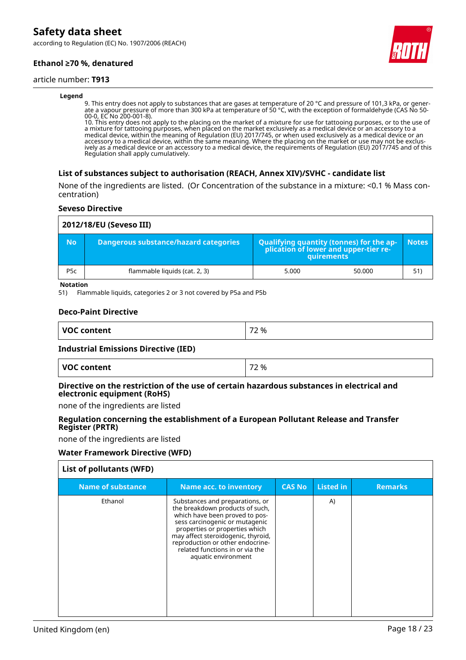according to Regulation (EC) No. 1907/2006 (REACH)

#### **Ethanol ≥70 %, denatured**

#### article number: **T913**



9. This entry does not apply to substances that are gases at temperature of 20 °C and pressure of 101,3 kPa, or generate a vapour pressure of more than 300 kPa at temperature of 50 °C, with the exception of formaldehyde (CAS No 50- 00-0, EC No 200-001-8).

10. This entry does not apply to the placing on the market of a mixture for use for tattooing purposes, or to the use of a mixture for tattooing purposes, when placed on the market exclusively as a medical device or an accessory to a medical device, within the meaning of Regulation (EU) 2017/745, or when used exclusively as a medical device or an accessory to a medical device, within the same meaning. Where the placing on the market or use may not be exclusively as a medical device or an accessory to a medical device, the requirements of Regulation (EU) 2017/745 and of this Regulation shall apply cumulatively.

#### **List of substances subject to authorisation (REACH, Annex XIV)/SVHC - candidate list**

None of the ingredients are listed. (Or Concentration of the substance in a mixture: <0.1 % Mass concentration)

#### **Seveso Directive**

|                  | 2012/18/EU (Seveso III)               |                                                                                            |        |              |  |  |  |
|------------------|---------------------------------------|--------------------------------------------------------------------------------------------|--------|--------------|--|--|--|
| <b>No</b>        | Dangerous substance/hazard categories | Qualifying quantity (tonnes) for the application of lower and upper-tier re-<br>quirements |        | <b>Notes</b> |  |  |  |
| P <sub>5</sub> c | flammable liquids (cat. 2, 3)         | 5.000                                                                                      | 50.000 | 51)          |  |  |  |

#### **Notation**

51) Flammable liquids, categories 2 or 3 not covered by P5a and P5b

#### **Deco-Paint Directive**

| <b>VOC</b><br><b>Content</b> | --<br>$\sim$<br>%<br><u>_</u> |
|------------------------------|-------------------------------|
|                              |                               |

#### **Industrial Emissions Directive (IED)**

| <b>VOC content</b> | 72 % |
|--------------------|------|
|                    |      |

#### **Directive on the restriction of the use of certain hazardous substances in electrical and electronic equipment (RoHS)**

none of the ingredients are listed

#### **Regulation concerning the establishment of a European Pollutant Release and Transfer Register (PRTR)**

none of the ingredients are listed

#### **Water Framework Directive (WFD)**

|                                                                                                                                                                                                                                                                                       | <b>Name acc. to inventory</b> |                     |  |  |  |  | <b>CAS No</b> |  | <b>Listed in</b> |  | <b>Remarks</b> |
|---------------------------------------------------------------------------------------------------------------------------------------------------------------------------------------------------------------------------------------------------------------------------------------|-------------------------------|---------------------|--|--|--|--|---------------|--|------------------|--|----------------|
| Substances and preparations, or<br>the breakdown products of such,<br>which have been proved to pos-<br>sess carcinogenic or mutagenic<br>properties or properties which<br>may affect steroidogenic, thyroid,<br>reproduction or other endocrine-<br>related functions in or via the |                               | aquatic environment |  |  |  |  |               |  | A)               |  |                |

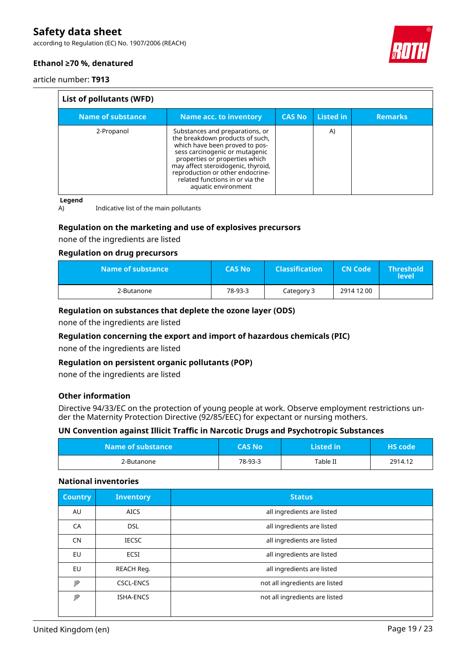according to Regulation (EC) No. 1907/2006 (REACH)



#### **Ethanol ≥70 %, denatured**

article number: **T913**

| List of pollutants (WFD) |                                                                                                                                                                                                                                                                                                              |               |           |                |
|--------------------------|--------------------------------------------------------------------------------------------------------------------------------------------------------------------------------------------------------------------------------------------------------------------------------------------------------------|---------------|-----------|----------------|
| Name of substance        | <b>Name acc. to inventory</b>                                                                                                                                                                                                                                                                                | <b>CAS No</b> | Listed in | <b>Remarks</b> |
| 2-Propanol               | Substances and preparations, or<br>the breakdown products of such,<br>which have been proved to pos-<br>sess carcinogenic or mutagenic<br>properties or properties which<br>may affect steroidogenic, thyroid,<br>reproduction or other endocrine-<br>related functions in or via the<br>aquatic environment |               | A)        |                |

**Legend**

A) Indicative list of the main pollutants

#### **Regulation on the marketing and use of explosives precursors**

none of the ingredients are listed

#### **Regulation on drug precursors**

| Name of substance <b>\</b> | <b>CAS No</b> | <b>Classification</b> | CN Code'   | <b>Threshold</b><br><b>level</b> |
|----------------------------|---------------|-----------------------|------------|----------------------------------|
| 2-Butanone                 | 78-93-3       | Category 3            | 2914 12 00 |                                  |

#### **Regulation on substances that deplete the ozone layer (ODS)**

none of the ingredients are listed

#### **Regulation concerning the export and import of hazardous chemicals (PIC)**

none of the ingredients are listed

#### **Regulation on persistent organic pollutants (POP)**

none of the ingredients are listed

#### **Other information**

Directive 94/33/EC on the protection of young people at work. Observe employment restrictions under the Maternity Protection Directive (92/85/EEC) for expectant or nursing mothers.

#### **UN Convention against Illicit Traffic in Narcotic Drugs and Psychotropic Substances**

| Name of substance | <b>CAS No</b> | Listed in | <b>.HS code</b> ' |
|-------------------|---------------|-----------|-------------------|
| 2-Butanone        | 78-93-3       | Table II  | 2914.12           |

#### **National inventories**

| <b>Country</b> | <b>Inventory</b> | <b>Status</b>                  |
|----------------|------------------|--------------------------------|
| AU             | <b>AICS</b>      | all ingredients are listed     |
| <b>CA</b>      | <b>DSL</b>       | all ingredients are listed     |
| <b>CN</b>      | <b>IECSC</b>     | all ingredients are listed     |
| EU             | <b>ECSI</b>      | all ingredients are listed     |
| <b>EU</b>      | REACH Req.       | all ingredients are listed     |
| IP             | <b>CSCL-ENCS</b> | not all ingredients are listed |
| JP             | <b>ISHA-ENCS</b> | not all ingredients are listed |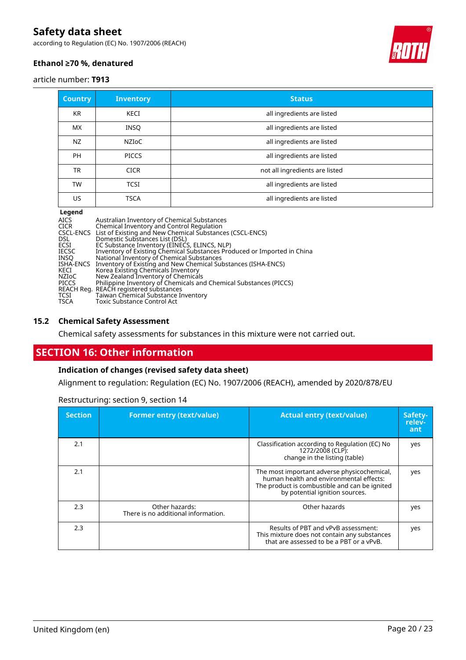according to Regulation (EC) No. 1907/2006 (REACH)



#### **Ethanol ≥70 %, denatured**

#### article number: **T913**

| <b>Country</b> | <b>Inventory</b> | <b>Status</b>                  |
|----------------|------------------|--------------------------------|
| <b>KR</b>      | KECI             | all ingredients are listed     |
| <b>MX</b>      | <b>INSO</b>      | all ingredients are listed     |
| NZ             | <b>NZIOC</b>     | all ingredients are listed     |
| PH             | <b>PICCS</b>     | all ingredients are listed     |
| <b>TR</b>      | <b>CICR</b>      | not all ingredients are listed |
| TW             | <b>TCSI</b>      | all ingredients are listed     |
| US             | <b>TSCA</b>      | all ingredients are listed     |

#### **Legend**

| AICS  | Australian Inventory of Chemical Substances                             |
|-------|-------------------------------------------------------------------------|
| CICR  | Chemical Inventory and Control Regulation                               |
|       | CSCL-ENCS List of Existing and New Chemical Substances (CSCL-ENCS)      |
| DSL.  | Domestic Substances List (DSL)                                          |
| ECSI  | EC Substance Inventory (EINECS, ELINCS, NLP)                            |
| IECSC | Inventory of Existing Chemical Substances Produced or Imported in China |
| INSO  | National Inventory of Chemical Substances                               |
|       | ISHA-ENCS Inventory of Existing and New Chemical Substances (ISHA-ENCS) |
| KECI  | Korea Existing Chemicals Inventory                                      |
| NZIoC | New Zealand Inventory of Chemicals                                      |
| PICCS | Philippine Inventory of Chemicals and Chemical Substances (PICCS)       |
|       | REACH Reg. REACH registered substances                                  |
| TCSI  | Taiwan Chemical Substance Inventory                                     |
| TSCA  | Toxic Substance Control Act                                             |

#### **15.2 Chemical Safety Assessment**

Chemical safety assessments for substances in this mixture were not carried out.

### **SECTION 16: Other information**

#### **Indication of changes (revised safety data sheet)**

Alignment to regulation: Regulation (EC) No. 1907/2006 (REACH), amended by 2020/878/EU

| <b>Section</b> | <b>Former entry (text/value)</b>                      | <b>Actual entry (text/value)</b>                                                                                                                                          | Safety-<br>relev-<br>ant |
|----------------|-------------------------------------------------------|---------------------------------------------------------------------------------------------------------------------------------------------------------------------------|--------------------------|
| 2.1            |                                                       | Classification according to Regulation (EC) No<br>1272/2008 (CLP):<br>change in the listing (table)                                                                       | yes                      |
| 2.1            |                                                       | The most important adverse physicochemical,<br>human health and environmental effects:<br>The product is combustible and can be ignited<br>by potential ignition sources. | yes                      |
| 2.3            | Other hazards:<br>There is no additional information. | Other hazards                                                                                                                                                             | yes                      |
| 2.3            |                                                       | Results of PBT and vPvB assessment:<br>This mixture does not contain any substances<br>that are assessed to be a PBT or a vPvB.                                           | yes                      |

Restructuring: section 9, section 14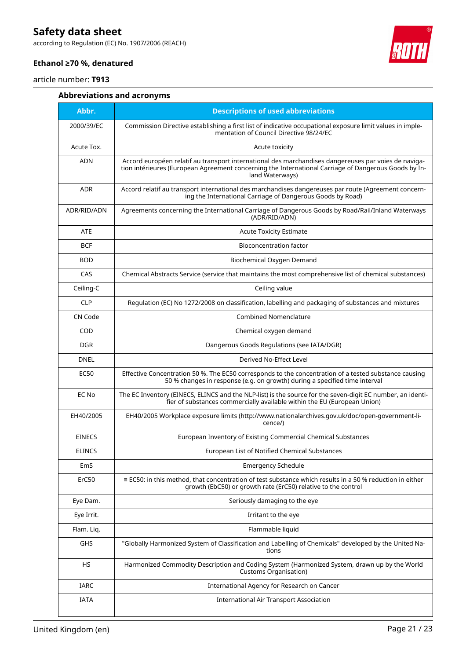according to Regulation (EC) No. 1907/2006 (REACH)



#### **Ethanol ≥70 %, denatured**

article number: **T913**

#### **Abbreviations and acronyms**

| Abbr.         | <b>Descriptions of used abbreviations</b>                                                                                                                                                                                       |
|---------------|---------------------------------------------------------------------------------------------------------------------------------------------------------------------------------------------------------------------------------|
| 2000/39/EC    | Commission Directive establishing a first list of indicative occupational exposure limit values in imple-<br>mentation of Council Directive 98/24/EC                                                                            |
| Acute Tox.    | Acute toxicity                                                                                                                                                                                                                  |
| <b>ADN</b>    | Accord européen relatif au transport international des marchandises dangereuses par voies de naviga-<br>tion intérieures (European Agreement concerning the International Carriage of Dangerous Goods by In-<br>land Waterways) |
| <b>ADR</b>    | Accord relatif au transport international des marchandises dangereuses par route (Agreement concern-<br>ing the International Carriage of Dangerous Goods by Road)                                                              |
| ADR/RID/ADN   | Agreements concerning the International Carriage of Dangerous Goods by Road/Rail/Inland Waterways<br>(ADR/RID/ADN)                                                                                                              |
| <b>ATE</b>    | <b>Acute Toxicity Estimate</b>                                                                                                                                                                                                  |
| <b>BCF</b>    | <b>Bioconcentration factor</b>                                                                                                                                                                                                  |
| <b>BOD</b>    | Biochemical Oxygen Demand                                                                                                                                                                                                       |
| CAS           | Chemical Abstracts Service (service that maintains the most comprehensive list of chemical substances)                                                                                                                          |
| Ceiling-C     | Ceiling value                                                                                                                                                                                                                   |
| <b>CLP</b>    | Regulation (EC) No 1272/2008 on classification, labelling and packaging of substances and mixtures                                                                                                                              |
| CN Code       | <b>Combined Nomenclature</b>                                                                                                                                                                                                    |
| <b>COD</b>    | Chemical oxygen demand                                                                                                                                                                                                          |
| <b>DGR</b>    | Dangerous Goods Regulations (see IATA/DGR)                                                                                                                                                                                      |
| <b>DNEL</b>   | Derived No-Effect Level                                                                                                                                                                                                         |
| <b>EC50</b>   | Effective Concentration 50 %. The EC50 corresponds to the concentration of a tested substance causing<br>50 % changes in response (e.g. on growth) during a specified time interval                                             |
| EC No         | The EC Inventory (EINECS, ELINCS and the NLP-list) is the source for the seven-digit EC number, an identi-<br>fier of substances commercially available within the EU (European Union)                                          |
| EH40/2005     | EH40/2005 Workplace exposure limits (http://www.nationalarchives.gov.uk/doc/open-government-li-<br>cence/)                                                                                                                      |
| <b>EINECS</b> | European Inventory of Existing Commercial Chemical Substances                                                                                                                                                                   |
| <b>ELINCS</b> | European List of Notified Chemical Substances                                                                                                                                                                                   |
| <b>EmS</b>    | <b>Emergency Schedule</b>                                                                                                                                                                                                       |
| ErC50         | $\equiv$ EC50: in this method, that concentration of test substance which results in a 50 % reduction in either<br>growth (EbC50) or growth rate (ErC50) relative to the control                                                |
| Eye Dam.      | Seriously damaging to the eye                                                                                                                                                                                                   |
| Eye Irrit.    | Irritant to the eye                                                                                                                                                                                                             |
| Flam. Liq.    | Flammable liquid                                                                                                                                                                                                                |
| GHS           | "Globally Harmonized System of Classification and Labelling of Chemicals" developed by the United Na-<br>tions                                                                                                                  |
| HS            | Harmonized Commodity Description and Coding System (Harmonized System, drawn up by the World<br>Customs Organisation)                                                                                                           |
| <b>IARC</b>   | International Agency for Research on Cancer                                                                                                                                                                                     |
| IATA          | <b>International Air Transport Association</b>                                                                                                                                                                                  |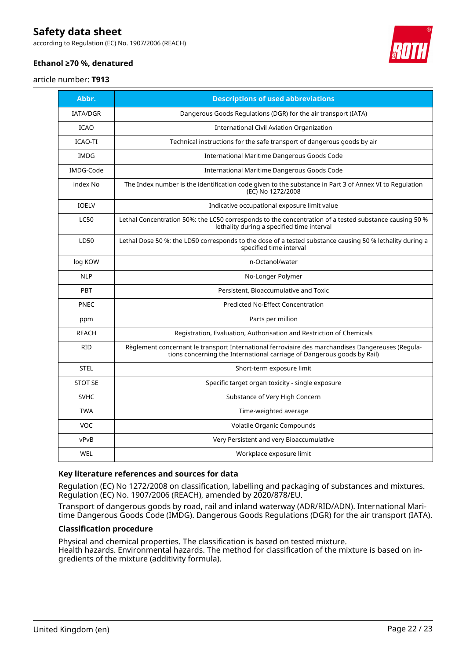according to Regulation (EC) No. 1907/2006 (REACH)



#### **Ethanol ≥70 %, denatured**

#### article number: **T913**

| Abbr.           | <b>Descriptions of used abbreviations</b>                                                                                                                                    |
|-----------------|------------------------------------------------------------------------------------------------------------------------------------------------------------------------------|
| <b>IATA/DGR</b> | Dangerous Goods Regulations (DGR) for the air transport (IATA)                                                                                                               |
| <b>ICAO</b>     | <b>International Civil Aviation Organization</b>                                                                                                                             |
| <b>ICAO-TI</b>  | Technical instructions for the safe transport of dangerous goods by air                                                                                                      |
| <b>IMDG</b>     | International Maritime Dangerous Goods Code                                                                                                                                  |
| IMDG-Code       | International Maritime Dangerous Goods Code                                                                                                                                  |
| index No        | The Index number is the identification code given to the substance in Part 3 of Annex VI to Regulation<br>(EC) No 1272/2008                                                  |
| <b>IOELV</b>    | Indicative occupational exposure limit value                                                                                                                                 |
| <b>LC50</b>     | Lethal Concentration 50%: the LC50 corresponds to the concentration of a tested substance causing 50 %<br>lethality during a specified time interval                         |
| LD50            | Lethal Dose 50 %: the LD50 corresponds to the dose of a tested substance causing 50 % lethality during a<br>specified time interval                                          |
| log KOW         | n-Octanol/water                                                                                                                                                              |
| <b>NLP</b>      | No-Longer Polymer                                                                                                                                                            |
| <b>PBT</b>      | Persistent, Bioaccumulative and Toxic                                                                                                                                        |
| <b>PNEC</b>     | <b>Predicted No-Effect Concentration</b>                                                                                                                                     |
| ppm             | Parts per million                                                                                                                                                            |
| <b>REACH</b>    | Registration, Evaluation, Authorisation and Restriction of Chemicals                                                                                                         |
| <b>RID</b>      | Règlement concernant le transport International ferroviaire des marchandises Dangereuses (Regula-<br>tions concerning the International carriage of Dangerous goods by Rail) |
| <b>STEL</b>     | Short-term exposure limit                                                                                                                                                    |
| <b>STOT SE</b>  | Specific target organ toxicity - single exposure                                                                                                                             |
| <b>SVHC</b>     | Substance of Very High Concern                                                                                                                                               |
| <b>TWA</b>      | Time-weighted average                                                                                                                                                        |
| VOC             | Volatile Organic Compounds                                                                                                                                                   |
| vPvB            | Very Persistent and very Bioaccumulative                                                                                                                                     |
| <b>WEL</b>      | Workplace exposure limit                                                                                                                                                     |

#### **Key literature references and sources for data**

Regulation (EC) No 1272/2008 on classification, labelling and packaging of substances and mixtures. Regulation (EC) No. 1907/2006 (REACH), amended by 2020/878/EU.

Transport of dangerous goods by road, rail and inland waterway (ADR/RID/ADN). International Maritime Dangerous Goods Code (IMDG). Dangerous Goods Regulations (DGR) for the air transport (IATA).

#### **Classification procedure**

Physical and chemical properties. The classification is based on tested mixture. Health hazards. Environmental hazards. The method for classification of the mixture is based on ingredients of the mixture (additivity formula).